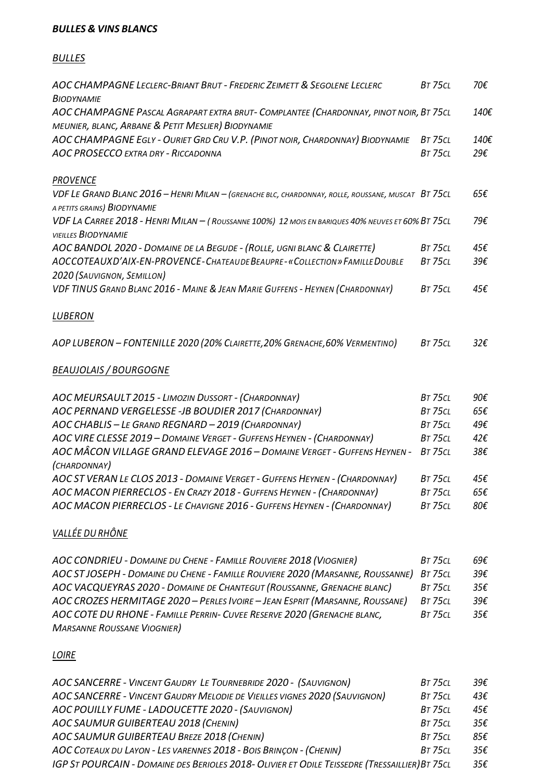#### *BULLES & VINS BLANCS*

### *BULLES*

| AOC CHAMPAGNE LECLERC-BRIANT BRUT - FREDERIC ZEIMETT & SEGOLENE LECLERC<br><b>BIODYNAMIE</b>                                                | <b>BT 75CL</b> | 70€          |
|---------------------------------------------------------------------------------------------------------------------------------------------|----------------|--------------|
| AOC CHAMPAGNE PASCAL AGRAPART EXTRA BRUT- COMPLANTEE (CHARDONNAY, PINOT NOIR, BT 75CL<br>MEUNIER, BLANC, ARBANE & PETIT MESLIER) BIODYNAMIE |                | 140€         |
| AOC CHAMPAGNE EGLY - OURIET GRD CRU V.P. (PINOT NOIR, CHARDONNAY) BIODYNAMIE                                                                | <b>BT 75CL</b> | 140€         |
| <b>AOC PROSECCO EXTRA DRY - RICCADONNA</b>                                                                                                  | <b>BT 75CL</b> | 29€          |
| <b>PROVENCE</b>                                                                                                                             |                |              |
| VDF LE GRAND BLANC 2016 - HENRI MILAN - (GRENACHE BLC, CHARDONNAY, ROLLE, ROUSSANE, MUSCAT BT 75CL<br>A PETITS GRAINS) BIODYNAMIE           |                | 65€          |
| VDF LA CARREE 2018 - HENRI MILAN - (ROUSSANNE 100%) 12 MOIS EN BARIQUES 40% NEUVES ET 60% BT 75CL<br><b>VIEILLES BIODYNAMIE</b>             |                | 79€          |
| AOC BANDOL 2020 - DOMAINE DE LA BEGUDE - (ROLLE, UGNI BLANC & CLAIRETTE)                                                                    | <b>BT 75CL</b> | 45€          |
| AOCCOTEAUXD'AIX-EN-PROVENCE-CHATEAUDE BEAUPRE-«COLLECTION» FAMILLE DOUBLE                                                                   | <b>BT 75CL</b> | 39€          |
| 2020 (SAUVIGNON, SEMILLON)                                                                                                                  |                |              |
| VDF TINUS GRAND BLANC 2016 - MAINE & JEAN MARIE GUFFENS - HEYNEN (CHARDONNAY)                                                               | <b>BT 75CL</b> | 45€          |
| <b>LUBERON</b>                                                                                                                              |                |              |
| AOP LUBERON - FONTENILLE 2020 (20% CLAIRETTE, 20% GRENACHE, 60% VERMENTINO)                                                                 | <b>BT 75CL</b> | $32\epsilon$ |
| <b>BEAUJOLAIS / BOURGOGNE</b>                                                                                                               |                |              |
| AOC MEURSAULT 2015 - LIMOZIN DUSSORT - (CHARDONNAY)                                                                                         | <b>BT 75CL</b> | 90€          |
| AOC PERNAND VERGELESSE - JB BOUDIER 2017 (CHARDONNAY)                                                                                       | <b>BT 75CL</b> | 65€          |
| AOC CHABLIS - LE GRAND REGNARD - 2019 (CHARDONNAY)                                                                                          | <b>BT 75CL</b> | 49€          |
| AOC VIRE CLESSE 2019 - DOMAINE VERGET - GUFFENS HEYNEN - (CHARDONNAY)                                                                       | <b>BT 75CL</b> | 42€          |
| AOC MÂCON VILLAGE GRAND ELEVAGE 2016 – DOMAINE VERGET - GUFFENS HEYNEN -<br>(CHARDONNAY)                                                    | <b>BT 75CL</b> | 38€          |
| AOC ST VERAN LE CLOS 2013 - DOMAINE VERGET - GUFFENS HEYNEN - (CHARDONNAY)                                                                  | <b>BT 75CL</b> | 45€          |
| AOC MACON PIERRECLOS - EN CRAZY 2018 - GUFFENS HEYNEN - (CHARDONNAY)                                                                        | <b>BT 75CL</b> | 65€          |
| AOC MACON PIERRECLOS - LE CHAVIGNE 2016 - GUFFENS HEYNEN - (CHARDONNAY)                                                                     | <b>BT 75CL</b> | 80€          |

# *VALLÉE DU RHÔNE*

| AOC CONDRIEU - DOMAINE DU CHENE - FAMILLE ROUVIERE 2018 (VIOGNIER)            | <b>BT 75CL</b> | 69€          |
|-------------------------------------------------------------------------------|----------------|--------------|
| AOC STJOSEPH - DOMAINE DU CHENE - FAMILLE ROUVIERE 2020 (MARSANNE, ROUSSANNE) | BT 75CL        | $39\epsilon$ |
| AOC VACQUEYRAS 2020 - DOMAINE DE CHANTEGUT (ROUSSANNE, GRENACHE BLANC)        | BT 75CL        | 35€          |
| AOC CROZES HERMITAGE 2020 - PERLES IVOIRE - JEAN ESPRIT (MARSANNE, ROUSSANE)  | <b>BT 75CL</b> | 39€          |
| AOC COTE DU RHONE - FAMILLE PERRIN- CUVEE RESERVE 2020 (GRENACHE BLANC,       | <b>BT 75CL</b> | 35€          |
| <b>MARSANNE ROUSSANE VIOGNIER)</b>                                            |                |              |

## *LOIRE*

| AOC SANCERRE - VINCENT GAUDRY LE TOURNEBRIDE 2020 - (SAUVIGNON)                                | <b>BT 75CL</b> | 39€ |
|------------------------------------------------------------------------------------------------|----------------|-----|
| AOC SANCERRE - VINCENT GAUDRY MELODIE DE VIEILLES VIGNES 2020 (SAUVIGNON)                      | <b>BT 75CL</b> | 43€ |
| AOC POUILLY FUME - LADOUCETTE 2020 - (SAUVIGNON)                                               | <b>BT 75CL</b> | 45€ |
| AOC SAUMUR GUIBERTEAU 2018 (CHENIN)                                                            | <b>BT 75CL</b> | 35€ |
| AOC SAUMUR GUIBERTEAU BREZE 2018 (CHENIN)                                                      | <b>BT 75CL</b> | 85€ |
| AOC COTEAUX DU LAYON - LES VARENNES 2018 - BOIS BRINCON - (CHENIN)                             | <b>BT 75CL</b> | 35€ |
| IGP ST POURCAIN - DOMAINE DES BERIOLES 2018- OLIVIER ET ODILE TEISSEDRE (TRESSAILLIER) BT 75CL |                | 35€ |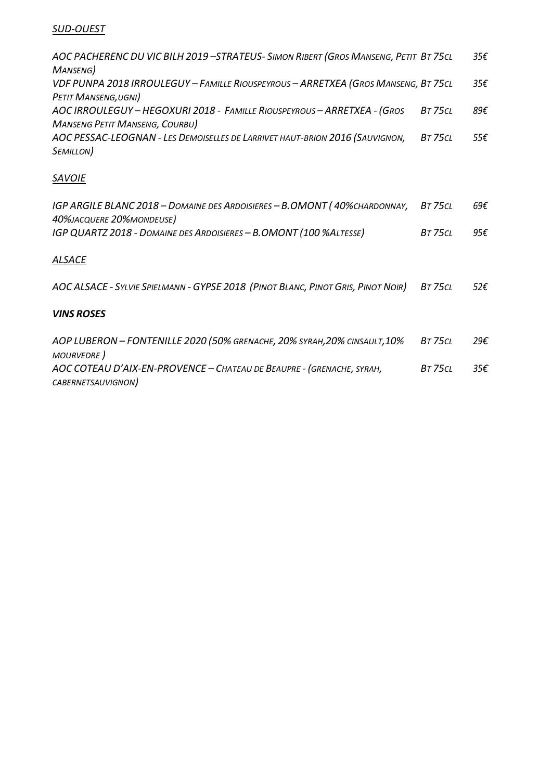#### *SUD-OUEST*

| AOC PACHERENC DU VIC BILH 2019 -STRATEUS- SIMON RIBERT (GROS MANSENG, PETIT BT 75CL |                | 35€ |
|-------------------------------------------------------------------------------------|----------------|-----|
| MANSENG)                                                                            |                |     |
| VDF PUNPA 2018 IRROULEGUY – FAMILLE RIOUSPEYROUS – ARRETXEA (GROS MANSENG, BT 75CL  |                | 35€ |
| <b>PETIT MANSENG, UGNI)</b>                                                         |                |     |
| AOC IRROULEGUY - HEGOXURI 2018 - FAMILLE RIOUSPEYROUS - ARRETXEA - (GROS            | <b>BT 75CL</b> | 89€ |
| <b>MANSENG PETIT MANSENG, COURBU)</b>                                               |                |     |
| AOC PESSAC-LEOGNAN - LES DEMOISELLES DE LARRIVET HAUT-BRION 2016 (SAUVIGNON,        | <b>BT 75CL</b> | 55€ |
| SEMILLON)                                                                           |                |     |

### *SAVOIE*

| IGP ARGILE BLANC 2018 – DOMAINE DES ARDOISIERES – B.OMONT (40%CHARDONNAY, | BT 75CL | 69€ |
|---------------------------------------------------------------------------|---------|-----|
| 40%JACQUERE 20%MONDEUSE)                                                  |         |     |
| IGP QUARTZ 2018 - DOMAINE DES ARDOISIERES - B.OMONT (100 %ALTESSE)        | BT 75CL | 95€ |

### *ALSACE*

AOC ALSACE - SYLVIE SPIELMANN - GYPSE 2018 (PINOT BLANC, PINOT GRIS, PINOT NOIR)  $\,$  BT 75cl  $\,$  52 $\epsilon$ 

### *VINS ROSES*

| AOP LUBERON - FONTENILLE 2020 (50% GRENACHE, 20% SYRAH, 20% CINSAULT, 10% | BT 75CL | 29€ |
|---------------------------------------------------------------------------|---------|-----|
| MOURVEDRE)                                                                |         |     |
| AOC COTEAU D'AIX-EN-PROVENCE – CHATEAU DE BEAUPRE - (GRENACHE, SYRAH,     | BT 75CL | 35€ |
| CABERNETSAUVIGNON)                                                        |         |     |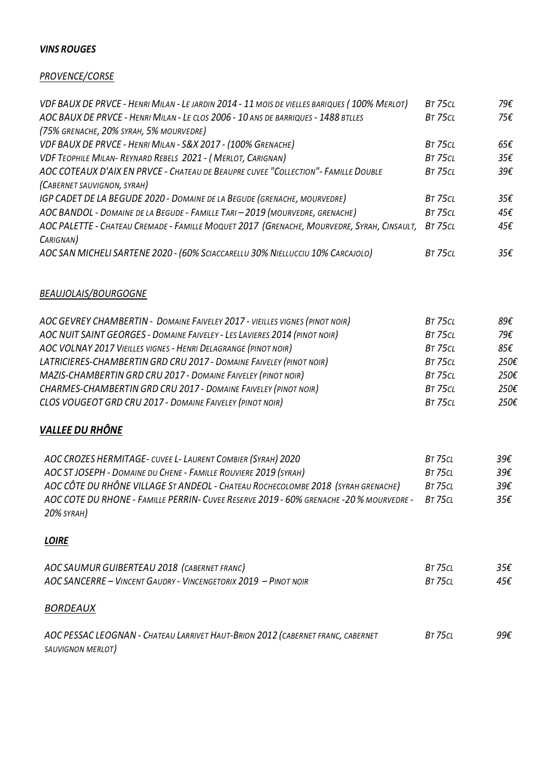#### *VINS ROUGES*

#### *PROVENCE/CORSE*

| VDF BAUX DE PRVCE - HENRI MILAN - LE JARDIN 2014 - 11 MOIS DE VIELLES BARIQUES (100% MERLOT) | <b>BT 75CL</b> | 79€ |
|----------------------------------------------------------------------------------------------|----------------|-----|
| AOC BAUX DE PRVCE - HENRI MILAN - LE CLOS 2006 - 10 ANS DE BARRIQUES - 1488 BTLLES           | <b>BT 75CL</b> | 75€ |
| (75% GRENACHE, 20% SYRAH, 5% MOURVEDRE)                                                      |                |     |
| VDF BAUX DE PRVCE - HENRI MILAN - S&X 2017 - (100% GRENACHE)                                 | <b>BT 75CL</b> | 65€ |
| VDF TEOPHILE MILAN- REYNARD REBELS 2021 - (MERLOT, CARIGNAN)                                 | <b>BT 75CL</b> | 35€ |
| AOC COTEAUX D'AIX EN PRVCE - CHATEAU DE BEAUPRE CUVEE "COLLECTION" - FAMILLE DOUBLE          | <b>BT 75CL</b> | 39€ |
| (CABERNET SAUVIGNON, SYRAH)                                                                  |                |     |
| IGP CADET DE LA BEGUDE 2020 - DOMAINE DE LA BEGUDE (GRENACHE, MOURVEDRE)                     | <b>BT 75CL</b> | 35€ |
| AOC BANDOL - DOMAINE DE LA BEGUDE - FAMILLE TARI - 2019 (MOURVEDRE, GRENACHE)                | <b>BT 75CL</b> | 45€ |
| AOC PALETTE - CHATEAU CREMADE - FAMILLE MOQUET 2017 (GRENACHE, MOURVEDRE, SYRAH, CINSAULT,   | <b>BT 75CL</b> | 45€ |
| CARIGNAN)                                                                                    |                |     |
| AOC SAN MICHELI SARTENE 2020 - (60% SCIACCARELLU 30% NIELLUCCIU 10% CARCAJOLO)               | BT 75CL        | 35€ |

### *BEAUJOLAIS/BOURGOGNE*

| AOC GEVREY CHAMBERTIN - DOMAINE FAIVELEY 2017 - VIEILLES VIGNES (PINOT NOIR) | <b>BT 75CL</b> | 89€  |
|------------------------------------------------------------------------------|----------------|------|
| AOC NUIT SAINT GEORGES - DOMAINE FAIVELEY - LES LAVIERES 2014 (PINOT NOIR)   | <b>BT 75CL</b> | 79€  |
| AOC VOLNAY 2017 VIEILLES VIGNES - HENRI DELAGRANGE (PINOT NOIR)              | <b>BT 75CL</b> | 85€  |
| LATRICIERES-CHAMBERTIN GRD CRU 2017 - DOMAINE FAIVELEY (PINOT NOIR)          | <b>BT 75CL</b> | 250€ |
| MAZIS-CHAMBERTIN GRD CRU 2017 - DOMAINE FAIVELEY (PINOT NOIR)                | <b>BT 75CL</b> | 250€ |
| CHARMES-CHAMBERTIN GRD CRU 2017 - DOMAINE FAIVELEY (PINOT NOIR)              | <b>BT 75CL</b> | 250€ |
| <b>CLOS VOUGEOT GRD CRU 2017 - DOMAINE FAIVELEY (PINOT NOIR)</b>             | <b>BT 75CL</b> | 250€ |

## *VALLEE DU RHÔNE*

| AOC CROZES HERMITAGE - CUVEE L - LAURENT COMBIER (SYRAH) 2020                            | BT 75CL | 39€ |
|------------------------------------------------------------------------------------------|---------|-----|
| AOC ST JOSEPH - DOMAINE DU CHENE - FAMILLE ROUVIERE 2019 (SYRAH)                         | BT 75CL | 39€ |
| AOC CÔTE DU RHÔNE VILLAGE ST ANDEOL - CHATEAU ROCHECOLOMBE 2018 (SYRAH GRENACHE)         | BT 75CL | 39€ |
| AOC COTE DU RHONE - FAMILLE PERRIN- CUVEE RESERVE 2019 - 60% GRENACHE - 20 % MOURVEDRE - | BT 750L | 35€ |
| 20% syrah)                                                                               |         |     |

### *LOIRE*

| AOC SAUMUR GUIBERTEAU 2018 (CABERNET FRANC)<br>AOC SANCERRE - VINCENT GAUDRY - VINCENGETORIX 2019 - PINOT NOIR | <b>BT 75CL</b><br><b>BT 75CL</b> | 35€<br>45€ |
|----------------------------------------------------------------------------------------------------------------|----------------------------------|------------|
| <i>BORDEAUX</i>                                                                                                |                                  |            |
| AOC PESSAC LEOGNAN - CHATEAU LARRIVET HAUT-BRION 2012 (CABERNET FRANC, CABERNET<br>SAUVIGNON MERLOT)           | <b>BT 75CL</b>                   | 99€        |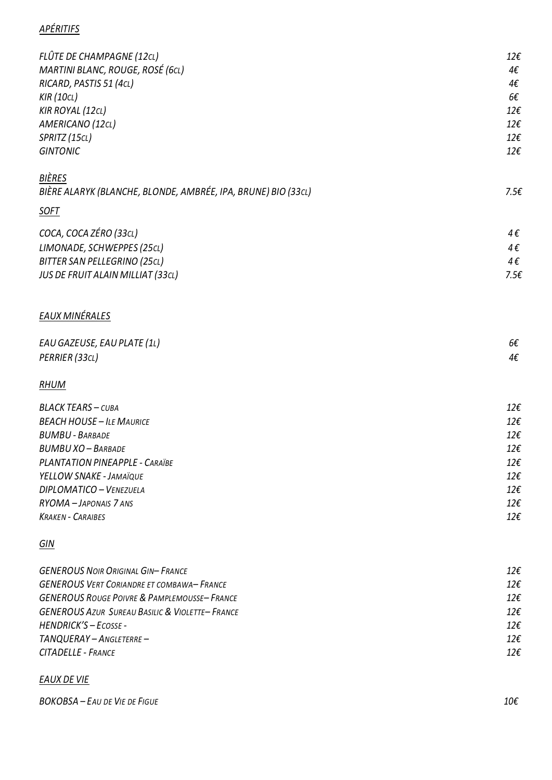### *APÉRITIFS*

| FLÛTE DE CHAMPAGNE (12CL)<br>MARTINI BLANC, ROUGE, ROSÉ (6cL) | $12\epsilon$<br>4€  |
|---------------------------------------------------------------|---------------------|
| RICARD, PASTIS 51 (4cL)                                       | 4€                  |
| <b>KIR</b> (10CL)                                             | 66                  |
| <b>KIR ROYAL (12CL)</b>                                       | $12\epsilon$        |
| AMERICANO (12CL)                                              | $12\epsilon$        |
| SPRITZ (15CL)                                                 | $12\epsilon$        |
| <b>GINTONIC</b>                                               | $12\epsilon$        |
| BIÈRES                                                        | $7.5\varepsilon$    |
| BIÈRE ALARYK (BLANCHE, BLONDE, AMBRÉE, IPA, BRUNE) BIO (33cL) |                     |
| <u>SOFT</u>                                                   |                     |
| COCA, COCA ZÉRO (33CL)                                        | 4€                  |
| LIMONADE, SCHWEPPES (25cL)                                    | 4€                  |
| <b>BITTER SAN PELLEGRINO (25CL)</b>                           | 4€                  |
| JUS DE FRUIT ALAIN MILLIAT (33CL)                             | $7.5\varepsilon$    |
| EAUX MINÉRALES                                                |                     |
| EAU GAZEUSE, EAU PLATE (1L)                                   | $6\epsilon$         |
| PERRIER (33CL)                                                | 4€                  |
| <b>RHUM</b>                                                   |                     |
| <b>BLACK TEARS - CUBA</b>                                     | $12\epsilon$        |
| <b>BEACH HOUSE - ILE MAURICE</b>                              | $12\epsilon$        |
| <b>BUMBU - BARBADE</b>                                        | $12\epsilon$        |
| <b>BUMBU XO - BARBADE</b>                                     | $12\epsilon$        |
| PLANTATION PINEAPPLE - CARAÏBE                                | $12\epsilon$        |
| YELLOW SNAKE - JAMAÏQUE                                       | $12\epsilon$        |
| DIPLOMATICO - VENEZUELA                                       | $12\epsilon$        |
| RYOMA - JAPONAIS 7 ANS<br><b>KRAKEN - CARAIBES</b>            | 12€<br>$12\epsilon$ |
|                                                               |                     |
| <u>GIN</u>                                                    |                     |
| <b>GENEROUS NOIR ORIGINAL GIN-FRANCE</b>                      | $12\epsilon$        |
| <b>GENEROUS VERT CORIANDRE ET COMBAWA-FRANCE</b>              | $12\epsilon$        |
| <b>GENEROUS ROUGE POIVRE &amp; PAMPLEMOUSSE-FRANCE</b>        | $12\epsilon$        |
| <b>GENEROUS AZUR SUREAU BASILIC &amp; VIOLETTE-FRANCE</b>     | $12\epsilon$        |
| HENDRICK'S-ECOSSE-                                            | $12\epsilon$        |
| TANQUERAY - ANGLETERRE -                                      | $12\epsilon$        |

### *EAUX DE VIE*

*CITADELLE - FRANCE*

*BOKOBSA – EAU DE VIE DE FIGUE 10€*

*12€*